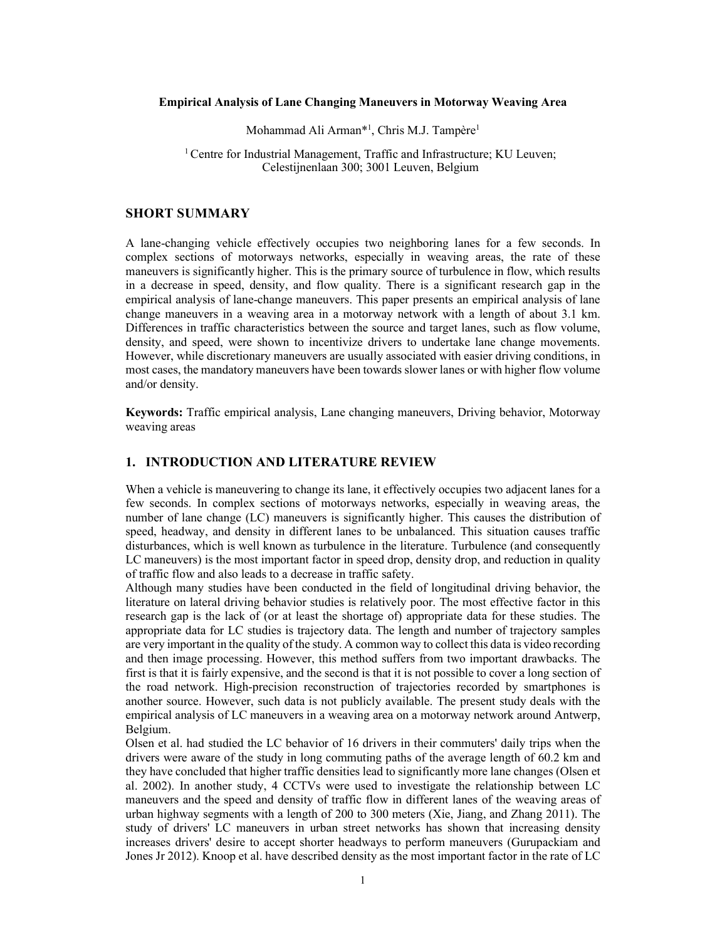### **Empirical Analysis of Lane Changing Maneuvers in Motorway Weaving Area**

Mohammad Ali Arman\*<sup>1</sup>, Chris M.J. Tampère<sup>1</sup>

<sup>1</sup> Centre for Industrial Management, Traffic and Infrastructure; KU Leuven; Celestijnenlaan 300; 3001 Leuven, Belgium

## **SHORT SUMMARY**

A lane-changing vehicle effectively occupies two neighboring lanes for a few seconds. In complex sections of motorways networks, especially in weaving areas, the rate of these maneuvers is significantly higher. This is the primary source of turbulence in flow, which results in a decrease in speed, density, and flow quality. There is a significant research gap in the empirical analysis of lane-change maneuvers. This paper presents an empirical analysis of lane change maneuvers in a weaving area in a motorway network with a length of about 3.1 km. Differences in traffic characteristics between the source and target lanes, such as flow volume, density, and speed, were shown to incentivize drivers to undertake lane change movements. However, while discretionary maneuvers are usually associated with easier driving conditions, in most cases, the mandatory maneuvers have been towards slower lanes or with higher flow volume and/or density.

**Keywords:** Traffic empirical analysis, Lane changing maneuvers, Driving behavior, Motorway weaving areas

### **1. INTRODUCTION AND LITERATURE REVIEW**

When a vehicle is maneuvering to change its lane, it effectively occupies two adjacent lanes for a few seconds. In complex sections of motorways networks, especially in weaving areas, the number of lane change (LC) maneuvers is significantly higher. This causes the distribution of speed, headway, and density in different lanes to be unbalanced. This situation causes traffic disturbances, which is well known as turbulence in the literature. Turbulence (and consequently LC maneuvers) is the most important factor in speed drop, density drop, and reduction in quality of traffic flow and also leads to a decrease in traffic safety.

Although many studies have been conducted in the field of longitudinal driving behavior, the literature on lateral driving behavior studies is relatively poor. The most effective factor in this research gap is the lack of (or at least the shortage of) appropriate data for these studies. The appropriate data for LC studies is trajectory data. The length and number of trajectory samples are very important in the quality of the study. A common way to collect this data is video recording and then image processing. However, this method suffers from two important drawbacks. The first is that it is fairly expensive, and the second is that it is not possible to cover a long section of the road network. High-precision reconstruction of trajectories recorded by smartphones is another source. However, such data is not publicly available. The present study deals with the empirical analysis of LC maneuvers in a weaving area on a motorway network around Antwerp, Belgium.

Olsen et al. had studied the LC behavior of 16 drivers in their commuters' daily trips when the drivers were aware of the study in long commuting paths of the average length of 60.2 km and they have concluded that higher traffic densities lead to significantly more lane changes (Olsen et al. 2002). In another study, 4 CCTVs were used to investigate the relationship between LC maneuvers and the speed and density of traffic flow in different lanes of the weaving areas of urban highway segments with a length of 200 to 300 meters (Xie, Jiang, and Zhang 2011). The study of drivers' LC maneuvers in urban street networks has shown that increasing density increases drivers' desire to accept shorter headways to perform maneuvers (Gurupackiam and Jones Jr 2012). Knoop et al. have described density as the most important factor in the rate of LC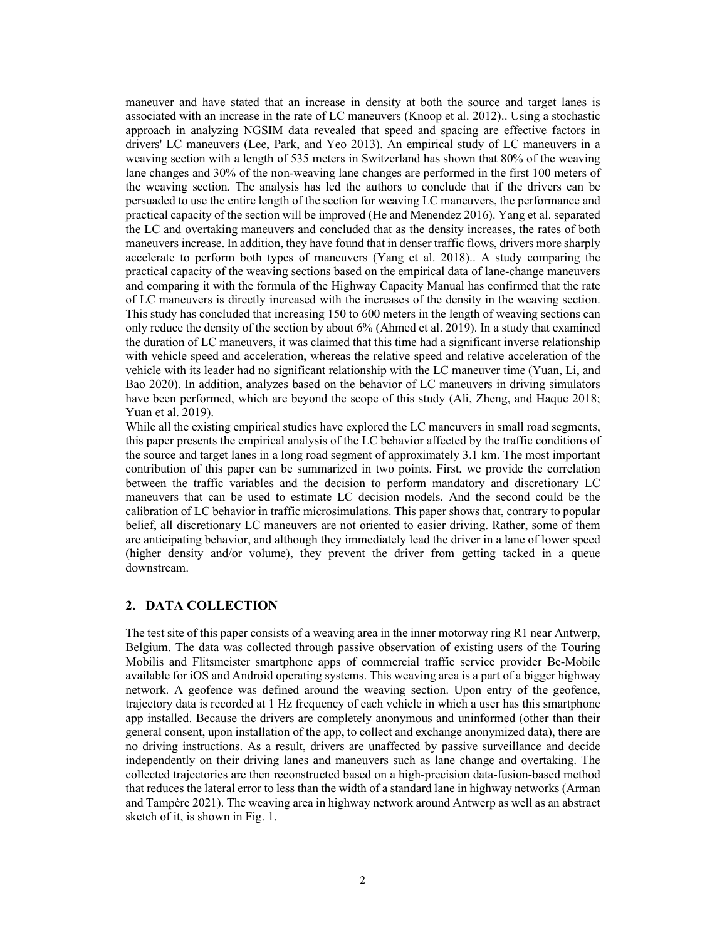maneuver and have stated that an increase in density at both the source and target lanes is associated with an increase in the rate of LC maneuvers (Knoop et al. 2012).. Using a stochastic approach in analyzing NGSIM data revealed that speed and spacing are effective factors in drivers' LC maneuvers (Lee, Park, and Yeo 2013). An empirical study of LC maneuvers in a weaving section with a length of 535 meters in Switzerland has shown that 80% of the weaving lane changes and 30% of the non-weaving lane changes are performed in the first 100 meters of the weaving section. The analysis has led the authors to conclude that if the drivers can be persuaded to use the entire length of the section for weaving LC maneuvers, the performance and practical capacity of the section will be improved (He and Menendez 2016). Yang et al. separated the LC and overtaking maneuvers and concluded that as the density increases, the rates of both maneuvers increase. In addition, they have found that in denser traffic flows, drivers more sharply accelerate to perform both types of maneuvers (Yang et al. 2018).. A study comparing the practical capacity of the weaving sections based on the empirical data of lane-change maneuvers and comparing it with the formula of the Highway Capacity Manual has confirmed that the rate of LC maneuvers is directly increased with the increases of the density in the weaving section. This study has concluded that increasing 150 to 600 meters in the length of weaving sections can only reduce the density of the section by about 6% (Ahmed et al. 2019). In a study that examined the duration of LC maneuvers, it was claimed that this time had a significant inverse relationship with vehicle speed and acceleration, whereas the relative speed and relative acceleration of the vehicle with its leader had no significant relationship with the LC maneuver time (Yuan, Li, and Bao 2020). In addition, analyzes based on the behavior of LC maneuvers in driving simulators have been performed, which are beyond the scope of this study (Ali, Zheng, and Haque 2018; Yuan et al. 2019).

While all the existing empirical studies have explored the LC maneuvers in small road segments, this paper presents the empirical analysis of the LC behavior affected by the traffic conditions of the source and target lanes in a long road segment of approximately 3.1 km. The most important contribution of this paper can be summarized in two points. First, we provide the correlation between the traffic variables and the decision to perform mandatory and discretionary LC maneuvers that can be used to estimate LC decision models. And the second could be the calibration of LC behavior in traffic microsimulations. This paper shows that, contrary to popular belief, all discretionary LC maneuvers are not oriented to easier driving. Rather, some of them are anticipating behavior, and although they immediately lead the driver in a lane of lower speed (higher density and/or volume), they prevent the driver from getting tacked in a queue downstream.

# **2. DATA COLLECTION**

The test site of this paper consists of a weaving area in the inner motorway ring R1 near Antwerp, Belgium. The data was collected through passive observation of existing users of the Touring Mobilis and Flitsmeister smartphone apps of commercial traffic service provider Be-Mobile available for iOS and Android operating systems. This weaving area is a part of a bigger highway network. A geofence was defined around the weaving section. Upon entry of the geofence, trajectory data is recorded at 1 Hz frequency of each vehicle in which a user has this smartphone app installed. Because the drivers are completely anonymous and uninformed (other than their general consent, upon installation of the app, to collect and exchange anonymized data), there are no driving instructions. As a result, drivers are unaffected by passive surveillance and decide independently on their driving lanes and maneuvers such as lane change and overtaking. The collected trajectories are then reconstructed based on a high-precision data-fusion-based method that reduces the lateral error to less than the width of a standard lane in highway networks (Arman and Tampère 2021). The weaving area in highway network around Antwerp as well as an abstract sketch of it, is shown in Fig. 1.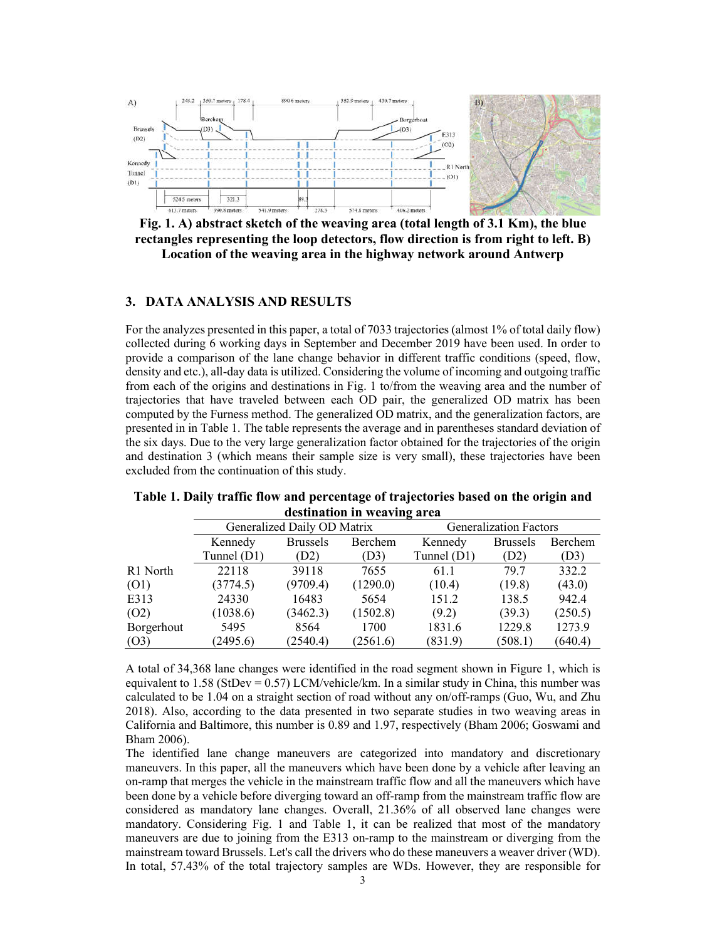

**Fig. 1. A) abstract sketch of the weaving area (total length of 3.1 Km), the blue rectangles representing the loop detectors, flow direction is from right to left. B) Location of the weaving area in the highway network around Antwerp**

### **3. DATA ANALYSIS AND RESULTS**

For the analyzes presented in this paper, a total of 7033 trajectories (almost 1% of total daily flow) collected during 6 working days in September and December 2019 have been used. In order to provide a comparison of the lane change behavior in different traffic conditions (speed, flow, density and etc.), all-day data is utilized. Considering the volume of incoming and outgoing traffic from each of the origins and destinations in Fig. 1 to/from the weaving area and the number of trajectories that have traveled between each OD pair, the generalized OD matrix has been computed by the Furness method. The generalized OD matrix, and the generalization factors, are presented in in Table 1. The table represents the average and in parentheses standard deviation of the six days. Due to the very large generalization factor obtained for the trajectories of the origin and destination 3 (which means their sample size is very small), these trajectories have been excluded from the continuation of this study.

|            | Generalized Daily OD Matrix |                 | <b>Generalization Factors</b> |             |                 |         |
|------------|-----------------------------|-----------------|-------------------------------|-------------|-----------------|---------|
|            | Kennedy                     | <b>Brussels</b> | Berchem                       | Kennedy     | <b>Brussels</b> | Berchem |
|            | Tunnel (D1)                 | (D2)            | (D3)                          | Tunnel (D1) | (D2)            | (D3)    |
| R1 North   | 22118                       | 39118           | 7655                          | 61.1        | 79.7            | 332.2   |
| (O1)       | (3774.5)                    | (9709.4)        | (1290.0)                      | (10.4)      | (19.8)          | (43.0)  |
| E313       | 24330                       | 16483           | 5654                          | 151.2       | 138.5           | 942.4   |
| (O2)       | (1038.6)                    | (3462.3)        | (1502.8)                      | (9.2)       | (39.3)          | (250.5) |
| Borgerhout | 5495                        | 8564            | 1700                          | 1831.6      | 1229.8          | 1273.9  |
| (O3)       | (2495.6)                    | (2540.4)        | (2561.6)                      | (831.9)     | (508.1)         | (640.4) |

| Table 1. Daily traffic flow and percentage of trajectories based on the origin and |                             |  |
|------------------------------------------------------------------------------------|-----------------------------|--|
|                                                                                    | destination in weaving area |  |

A total of 34,368 lane changes were identified in the road segment shown in Figure 1, which is equivalent to  $1.58$  (StDev = 0.57) LCM/vehicle/km. In a similar study in China, this number was calculated to be 1.04 on a straight section of road without any on/off-ramps (Guo, Wu, and Zhu 2018). Also, according to the data presented in two separate studies in two weaving areas in California and Baltimore, this number is 0.89 and 1.97, respectively (Bham 2006; Goswami and Bham 2006).

The identified lane change maneuvers are categorized into mandatory and discretionary maneuvers. In this paper, all the maneuvers which have been done by a vehicle after leaving an on-ramp that merges the vehicle in the mainstream traffic flow and all the maneuvers which have been done by a vehicle before diverging toward an off-ramp from the mainstream traffic flow are considered as mandatory lane changes. Overall, 21.36% of all observed lane changes were mandatory. Considering Fig. 1 and Table 1, it can be realized that most of the mandatory maneuvers are due to joining from the E313 on-ramp to the mainstream or diverging from the mainstream toward Brussels. Let's call the drivers who do these maneuvers a weaver driver (WD). In total, 57.43% of the total trajectory samples are WDs. However, they are responsible for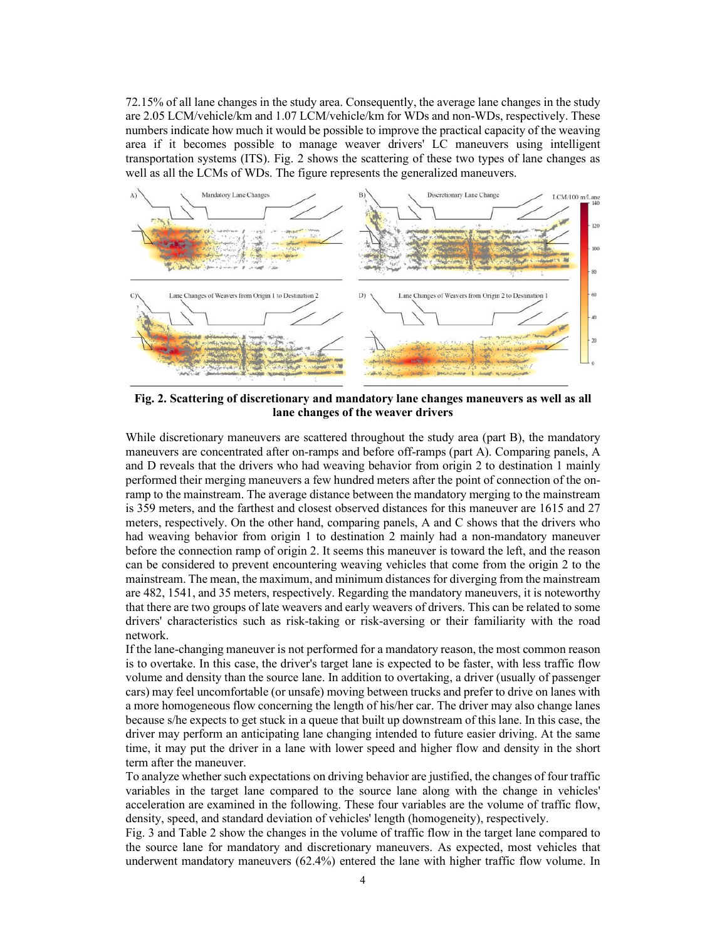72.15% of all lane changes in the study area. Consequently, the average lane changes in the study are 2.05 LCM/vehicle/km and 1.07 LCM/vehicle/km for WDs and non-WDs, respectively. These numbers indicate how much it would be possible to improve the practical capacity of the weaving area if it becomes possible to manage weaver drivers' LC maneuvers using intelligent transportation systems (ITS). Fig. 2 shows the scattering of these two types of lane changes as well as all the LCMs of WDs. The figure represents the generalized maneuvers.



**Fig. 2. Scattering of discretionary and mandatory lane changes maneuvers as well as all lane changes of the weaver drivers**

While discretionary maneuvers are scattered throughout the study area (part B), the mandatory maneuvers are concentrated after on-ramps and before off-ramps (part A). Comparing panels, A and D reveals that the drivers who had weaving behavior from origin 2 to destination 1 mainly performed their merging maneuvers a few hundred meters after the point of connection of the onramp to the mainstream. The average distance between the mandatory merging to the mainstream is 359 meters, and the farthest and closest observed distances for this maneuver are 1615 and 27 meters, respectively. On the other hand, comparing panels, A and C shows that the drivers who had weaving behavior from origin 1 to destination 2 mainly had a non-mandatory maneuver before the connection ramp of origin 2. It seems this maneuver is toward the left, and the reason can be considered to prevent encountering weaving vehicles that come from the origin 2 to the mainstream. The mean, the maximum, and minimum distances for diverging from the mainstream are 482, 1541, and 35 meters, respectively. Regarding the mandatory maneuvers, it is noteworthy that there are two groups of late weavers and early weavers of drivers. This can be related to some drivers' characteristics such as risk-taking or risk-aversing or their familiarity with the road network.

If the lane-changing maneuver is not performed for a mandatory reason, the most common reason is to overtake. In this case, the driver's target lane is expected to be faster, with less traffic flow volume and density than the source lane. In addition to overtaking, a driver (usually of passenger cars) may feel uncomfortable (or unsafe) moving between trucks and prefer to drive on lanes with a more homogeneous flow concerning the length of his/her car. The driver may also change lanes because s/he expects to get stuck in a queue that built up downstream of this lane. In this case, the driver may perform an anticipating lane changing intended to future easier driving. At the same time, it may put the driver in a lane with lower speed and higher flow and density in the short term after the maneuver.

To analyze whether such expectations on driving behavior are justified, the changes of four traffic variables in the target lane compared to the source lane along with the change in vehicles' acceleration are examined in the following. These four variables are the volume of traffic flow, density, speed, and standard deviation of vehicles' length (homogeneity), respectively.

Fig. 3 and Table 2 show the changes in the volume of traffic flow in the target lane compared to the source lane for mandatory and discretionary maneuvers. As expected, most vehicles that underwent mandatory maneuvers (62.4%) entered the lane with higher traffic flow volume. In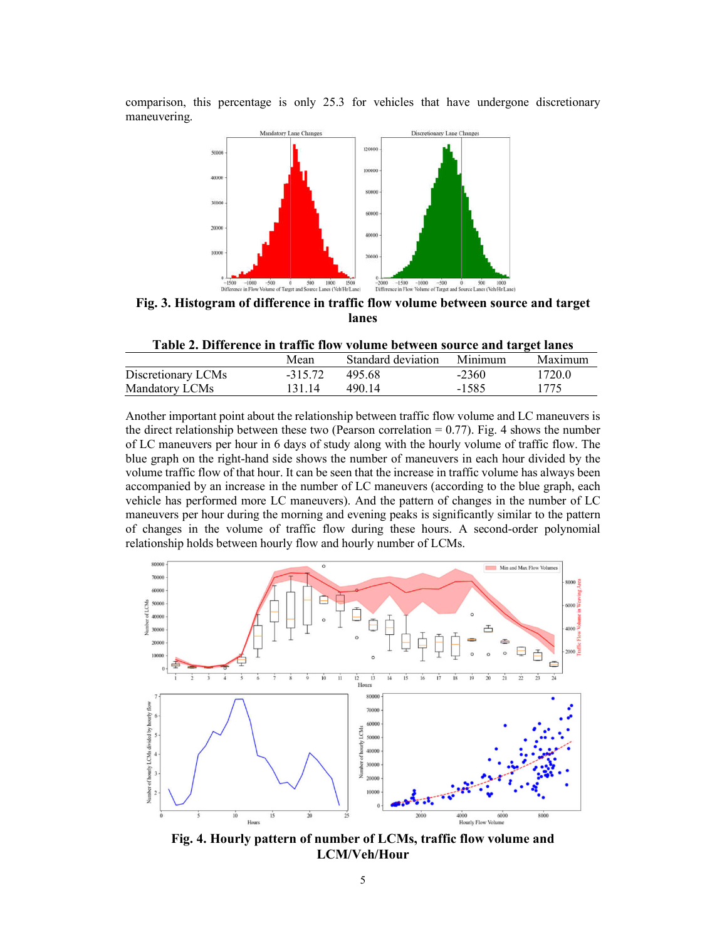comparison, this percentage is only 25.3 for vehicles that have undergone discretionary maneuvering.



**Fig. 3. Histogram of difference in traffic flow volume between source and target lanes**

|  |  |  |  |  |  | Table 2. Difference in traffic flow volume between source and target lanes |
|--|--|--|--|--|--|----------------------------------------------------------------------------|
|--|--|--|--|--|--|----------------------------------------------------------------------------|

|                    | Mean      | Standard deviation | Minimum | Maximum |
|--------------------|-----------|--------------------|---------|---------|
| Discretionary LCMs | $-315.72$ | 495.68             | $-2360$ | 1720.0  |
| Mandatory LCMs     | 131.14    | 490.14             | -1585   | 1775    |

Another important point about the relationship between traffic flow volume and LC maneuvers is the direct relationship between these two (Pearson correlation  $= 0.77$ ). Fig. 4 shows the number of LC maneuvers per hour in 6 days of study along with the hourly volume of traffic flow. The blue graph on the right-hand side shows the number of maneuvers in each hour divided by the volume traffic flow of that hour. It can be seen that the increase in traffic volume has always been accompanied by an increase in the number of LC maneuvers (according to the blue graph, each vehicle has performed more LC maneuvers). And the pattern of changes in the number of LC maneuvers per hour during the morning and evening peaks is significantly similar to the pattern of changes in the volume of traffic flow during these hours. A second-order polynomial relationship holds between hourly flow and hourly number of LCMs.



**Fig. 4. Hourly pattern of number of LCMs, traffic flow volume and LCM/Veh/Hour**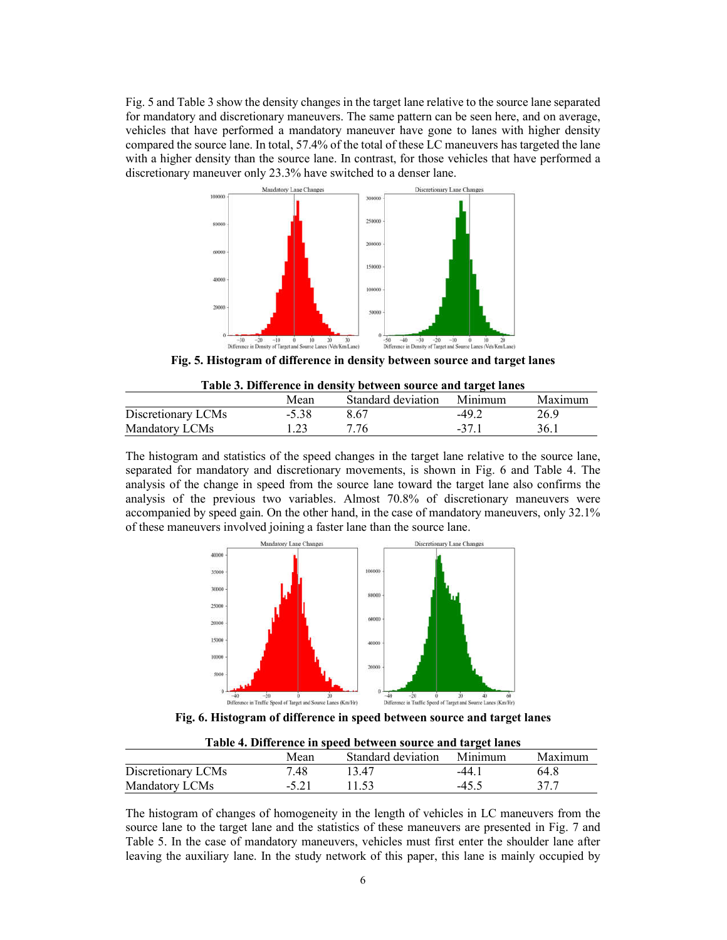Fig. 5 and Table 3 show the density changes in the target lane relative to the source lane separated for mandatory and discretionary maneuvers. The same pattern can be seen here, and on average, vehicles that have performed a mandatory maneuver have gone to lanes with higher density compared the source lane. In total, 57.4% of the total of these LC maneuvers has targeted the lane with a higher density than the source lane. In contrast, for those vehicles that have performed a discretionary maneuver only 23.3% have switched to a denser lane.



**Fig. 5. Histogram of difference in density between source and target lanes**

| Table 3. Difference in density between source and target lanes |         |                            |        |         |  |
|----------------------------------------------------------------|---------|----------------------------|--------|---------|--|
|                                                                | Mean    | Standard deviation Minimum |        | Maximum |  |
| Discretionary LCMs                                             | $-5.38$ | 8.67                       | $-492$ | 26.9    |  |
| Mandatory LCMs                                                 | 123     | 7 76                       | $-371$ | 36.1    |  |

The histogram and statistics of the speed changes in the target lane relative to the source lane, separated for mandatory and discretionary movements, is shown in Fig. 6 and Table 4. The analysis of the change in speed from the source lane toward the target lane also confirms the analysis of the previous two variables. Almost 70.8% of discretionary maneuvers were accompanied by speed gain. On the other hand, in the case of mandatory maneuvers, only 32.1% of these maneuvers involved joining a faster lane than the source lane.



**Fig. 6. Histogram of difference in speed between source and target lanes**

| Table 4. Difference in speed between source and target lanes |         |                            |         |         |  |  |
|--------------------------------------------------------------|---------|----------------------------|---------|---------|--|--|
|                                                              | Mean    | Standard deviation Minimum |         | Maximum |  |  |
| Discretionary LCMs                                           | 7.48    | 13.47                      | $-44.1$ | 64.8    |  |  |
| Mandatory LCMs                                               | $-5.21$ | 11.53                      | $-45.5$ | 377     |  |  |

**Table 4. Difference in speed between source and target lanes**

The histogram of changes of homogeneity in the length of vehicles in LC maneuvers from the source lane to the target lane and the statistics of these maneuvers are presented in Fig. 7 and Table 5. In the case of mandatory maneuvers, vehicles must first enter the shoulder lane after leaving the auxiliary lane. In the study network of this paper, this lane is mainly occupied by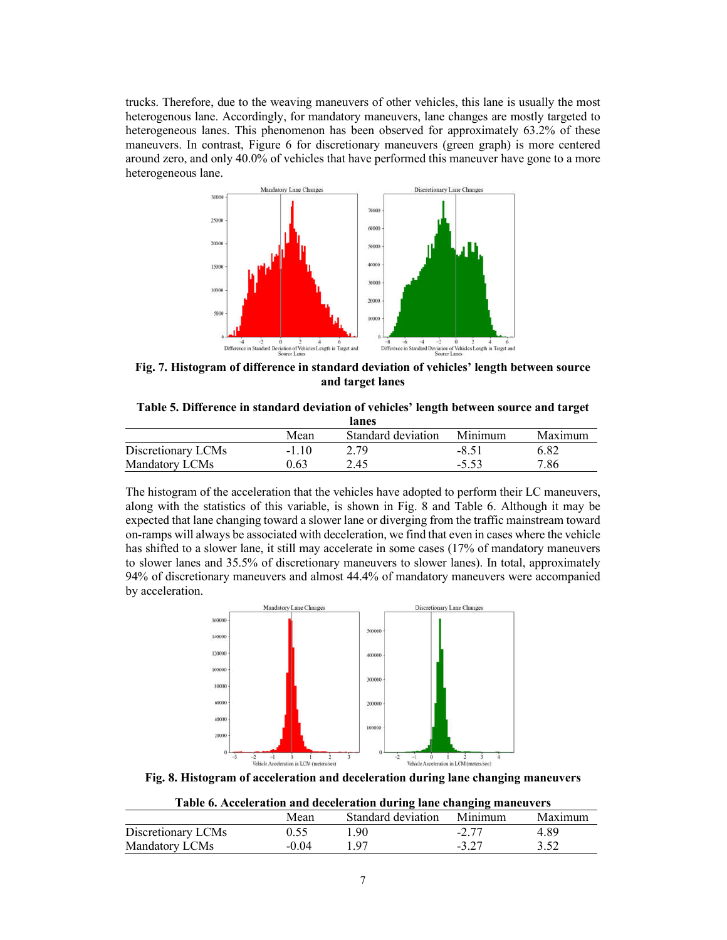trucks. Therefore, due to the weaving maneuvers of other vehicles, this lane is usually the most heterogenous lane. Accordingly, for mandatory maneuvers, lane changes are mostly targeted to heterogeneous lanes. This phenomenon has been observed for approximately 63.2% of these maneuvers. In contrast, Figure 6 for discretionary maneuvers (green graph) is more centered around zero, and only 40.0% of vehicles that have performed this maneuver have gone to a more heterogeneous lane.



**Fig. 7. Histogram of difference in standard deviation of vehicles' length between source and target lanes**

**Table 5. Difference in standard deviation of vehicles' length between source and target lanes**

|                    | Mean | Standard deviation | Minimum | Maximum |
|--------------------|------|--------------------|---------|---------|
| Discretionary LCMs | -110 | 2.79               | $-8.51$ | 6.82    |
| Mandatory LCMs     | ).63 | 2.45               |         | 7.86    |

The histogram of the acceleration that the vehicles have adopted to perform their LC maneuvers, along with the statistics of this variable, is shown in Fig. 8 and Table 6. Although it may be expected that lane changing toward a slower lane or diverging from the traffic mainstream toward on-ramps will always be associated with deceleration, we find that even in cases where the vehicle has shifted to a slower lane, it still may accelerate in some cases (17% of mandatory maneuvers to slower lanes and 35.5% of discretionary maneuvers to slower lanes). In total, approximately 94% of discretionary maneuvers and almost 44.4% of mandatory maneuvers were accompanied by acceleration.



**Fig. 8. Histogram of acceleration and deceleration during lane changing maneuvers**

| Table 6. Acceleration and deceleration during lane changing maneuvers |  |
|-----------------------------------------------------------------------|--|
|-----------------------------------------------------------------------|--|

|                    | Mean    | Standard deviation | Minimum | Maximum |
|--------------------|---------|--------------------|---------|---------|
| Discretionary LCMs |         | 1.90               | $-2.77$ | 4.89    |
| Mandatory LCMs     | $-0.04$ | 197                | $-3.27$ | 3.52    |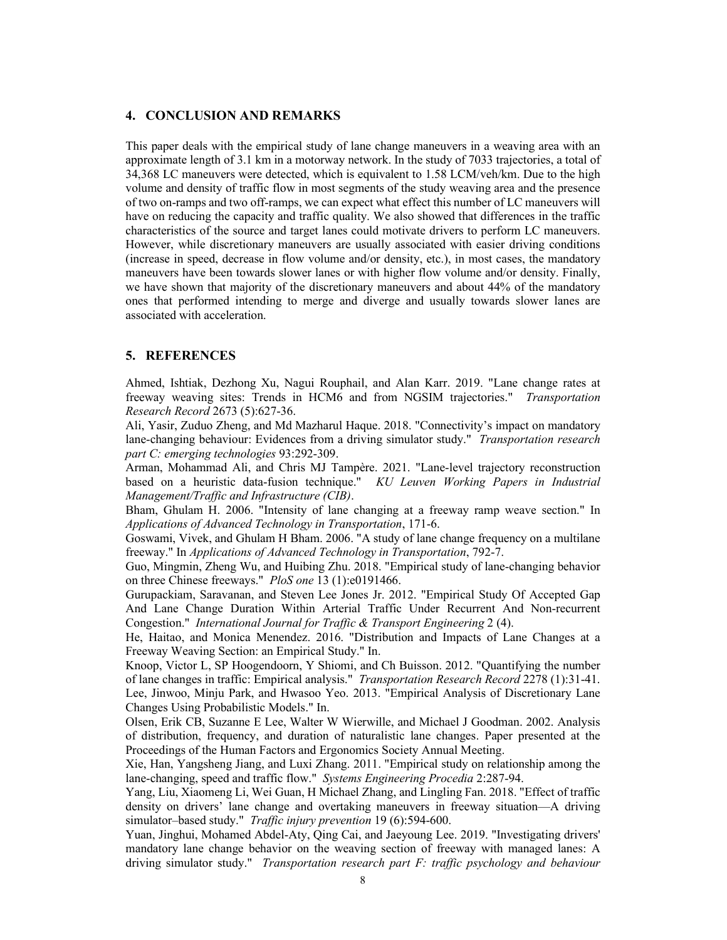## **4. CONCLUSION AND REMARKS**

This paper deals with the empirical study of lane change maneuvers in a weaving area with an approximate length of 3.1 km in a motorway network. In the study of 7033 trajectories, a total of 34,368 LC maneuvers were detected, which is equivalent to 1.58 LCM/veh/km. Due to the high volume and density of traffic flow in most segments of the study weaving area and the presence of two on-ramps and two off-ramps, we can expect what effect this number of LC maneuvers will have on reducing the capacity and traffic quality. We also showed that differences in the traffic characteristics of the source and target lanes could motivate drivers to perform LC maneuvers. However, while discretionary maneuvers are usually associated with easier driving conditions (increase in speed, decrease in flow volume and/or density, etc.), in most cases, the mandatory maneuvers have been towards slower lanes or with higher flow volume and/or density. Finally, we have shown that majority of the discretionary maneuvers and about 44% of the mandatory ones that performed intending to merge and diverge and usually towards slower lanes are associated with acceleration.

## **5. REFERENCES**

Ahmed, Ishtiak, Dezhong Xu, Nagui Rouphail, and Alan Karr. 2019. "Lane change rates at freeway weaving sites: Trends in HCM6 and from NGSIM trajectories." *Transportation Research Record* 2673 (5):627-36.

Ali, Yasir, Zuduo Zheng, and Md Mazharul Haque. 2018. "Connectivity's impact on mandatory lane-changing behaviour: Evidences from a driving simulator study." *Transportation research part C: emerging technologies* 93:292-309.

Arman, Mohammad Ali, and Chris MJ Tampère. 2021. "Lane-level trajectory reconstruction based on a heuristic data-fusion technique." *KU Leuven Working Papers in Industrial Management/Traffic and Infrastructure (CIB)*.

Bham, Ghulam H. 2006. "Intensity of lane changing at a freeway ramp weave section." In *Applications of Advanced Technology in Transportation*, 171-6.

Goswami, Vivek, and Ghulam H Bham. 2006. "A study of lane change frequency on a multilane freeway." In *Applications of Advanced Technology in Transportation*, 792-7.

Guo, Mingmin, Zheng Wu, and Huibing Zhu. 2018. "Empirical study of lane-changing behavior on three Chinese freeways." *PloS one* 13 (1):e0191466.

Gurupackiam, Saravanan, and Steven Lee Jones Jr. 2012. "Empirical Study Of Accepted Gap And Lane Change Duration Within Arterial Traffic Under Recurrent And Non-recurrent Congestion." *International Journal for Traffic & Transport Engineering* 2 (4).

He, Haitao, and Monica Menendez. 2016. "Distribution and Impacts of Lane Changes at a Freeway Weaving Section: an Empirical Study." In.

Knoop, Victor L, SP Hoogendoorn, Y Shiomi, and Ch Buisson. 2012. "Quantifying the number of lane changes in traffic: Empirical analysis." *Transportation Research Record* 2278 (1):31-41. Lee, Jinwoo, Minju Park, and Hwasoo Yeo. 2013. "Empirical Analysis of Discretionary Lane Changes Using Probabilistic Models." In.

Olsen, Erik CB, Suzanne E Lee, Walter W Wierwille, and Michael J Goodman. 2002. Analysis of distribution, frequency, and duration of naturalistic lane changes. Paper presented at the Proceedings of the Human Factors and Ergonomics Society Annual Meeting.

Xie, Han, Yangsheng Jiang, and Luxi Zhang. 2011. "Empirical study on relationship among the lane-changing, speed and traffic flow." *Systems Engineering Procedia* 2:287-94.

Yang, Liu, Xiaomeng Li, Wei Guan, H Michael Zhang, and Lingling Fan. 2018. "Effect of traffic density on drivers' lane change and overtaking maneuvers in freeway situation—A driving simulator–based study." *Traffic injury prevention* 19 (6):594-600.

Yuan, Jinghui, Mohamed Abdel-Aty, Qing Cai, and Jaeyoung Lee. 2019. "Investigating drivers' mandatory lane change behavior on the weaving section of freeway with managed lanes: A driving simulator study." *Transportation research part F: traffic psychology and behaviour*